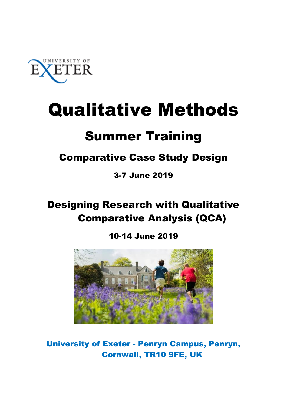

# Qualitative Methods

## Summer Training

## Comparative Case Study Design

3-7 June 2019

## Designing Research with Qualitative Comparative Analysis (QCA)

## 10-14 June 2019



University of Exeter - Penryn Campus, Penryn, Cornwall, TR10 9FE, UK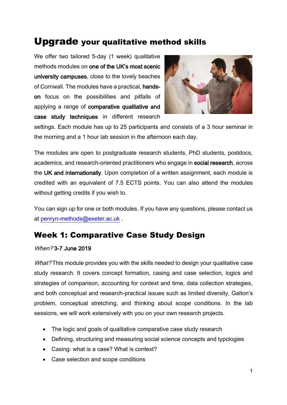## Upgrade your qualitative method skills

We offer two tailored 5-day (1 week) qualitative methods modules on one of the UK's most scenic university campuses, close to the lovely beaches of Cornwall. The modules have a practical, handson focus on the possibilities and pitfalls of applying a range of comparative qualitative and case study techniques in different research



settings. Each module has up to 25 participants and consists of a 3 hour seminar in the morning and a 1 hour lab session in the afternoon each day.

The modules are open to postgraduate research students, PhD students, postdocs, academics, and research-oriented practitioners who engage in social research, across the UK and internationally. Upon completion of a written assignment, each module is credited with an equivalent of 7.5 ECTS points. You can also attend the modules without getting credits if you wish to.

You can sign up for one or both modules. If you have any questions, please contact us at [penryn-methods@exeter.ac.uk](mailto:penryn-methods@exeter.ac.uk) .

## Week 1: Comparative Case Study Design

#### When? 3-7 June 2019

What? This module provides you with the skills needed to design your qualitative case study research. It covers concept formation, casing and case selection, logics and strategies of comparison, accounting for context and time, data collection strategies, and both conceptual and research-practical issues such as limited diversity, Galton's problem, conceptual stretching, and thinking about scope conditions. In the lab sessions, we will work extensively with you on your own research projects.

- The logic and goals of qualitative comparative case study research
- Defining, structuring and measuring social science concepts and typologies
- Casing: what is a case? What is context?
- Case selection and scope conditions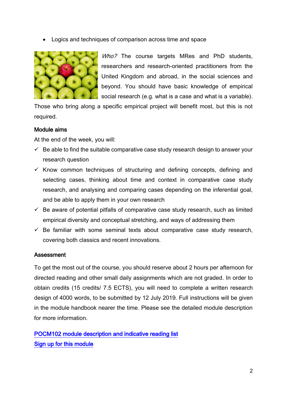Logics and techniques of comparison across time and space



Who? The course targets MRes and PhD students, researchers and research-oriented practitioners from the United Kingdom and abroad, in the social sciences and beyond. You should have basic knowledge of empirical social research (e.g. what is a case and what is a variable).

Those who bring along a specific empirical project will benefit most, but this is not required.

#### Module aims

At the end of the week, you will:

- $\checkmark$  Be able to find the suitable comparative case study research design to answer your research question
- $\checkmark$  Know common techniques of structuring and defining concepts, defining and selecting cases, thinking about time and context in comparative case study research, and analysing and comparing cases depending on the inferential goal, and be able to apply them in your own research
- $\checkmark$  Be aware of potential pitfalls of comparative case study research, such as limited empirical diversity and conceptual stretching, and ways of addressing them
- $\checkmark$  Be familiar with some seminal texts about comparative case study research, covering both classics and recent innovations.

#### Assessment

To get the most out of the course, you should reserve about 2 hours per afternoon for directed reading and other small daily assignments which are not graded. In order to obtain credits (15 credits/ 7.5 ECTS), you will need to complete a written research design of 4000 words, to be submitted by 12 July 2019. Full instructions will be given in the module handbook nearer the time. Please see the detailed module description for more information.

[POCM102 module description and indicative reading list](http://socialsciences.exeter.ac.uk/students/postgraduatemodules/2018-19/module/?moduleCode=POCM102&ay=2018/9)  [Sign up for this module](https://store.exeter.ac.uk/conferences-and-events/college-of-social-sciences-and-international-studies/events/qualitative-methods-summer-training-week-1-pocm102-comparative-case-study-design)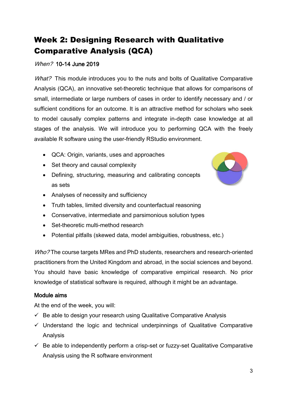## Week 2: Designing Research with Qualitative Comparative Analysis (QCA)

#### When? 10-14 June 2019

What? This module introduces you to the nuts and bolts of Qualitative Comparative Analysis (QCA), an innovative set-theoretic technique that allows for comparisons of small, intermediate or large numbers of cases in order to identify necessary and / or sufficient conditions for an outcome. It is an attractive method for scholars who seek to model causally complex patterns and integrate in-depth case knowledge at all stages of the analysis. We will introduce you to performing QCA with the freely available R software using the user-friendly RStudio environment.

- QCA: Origin, variants, uses and approaches
- Set theory and causal complexity
- Defining, structuring, measuring and calibrating concepts as sets
- Analyses of necessity and sufficiency
- Truth tables, limited diversity and counterfactual reasoning
- Conservative, intermediate and parsimonious solution types
- Set-theoretic multi-method research
- Potential pitfalls (skewed data, model ambiguities, robustness, etc.)

Who? The course targets MRes and PhD students, researchers and research-oriented practitioners from the United Kingdom and abroad, in the social sciences and beyond. You should have basic knowledge of comparative empirical research. No prior knowledge of statistical software is required, although it might be an advantage.

#### Module aims

At the end of the week, you will:

- $\checkmark$  Be able to design your research using Qualitative Comparative Analysis
- $\checkmark$  Understand the logic and technical underpinnings of Qualitative Comparative Analysis
- $\checkmark$  Be able to independently perform a crisp-set or fuzzy-set Qualitative Comparative Analysis using the R software environment

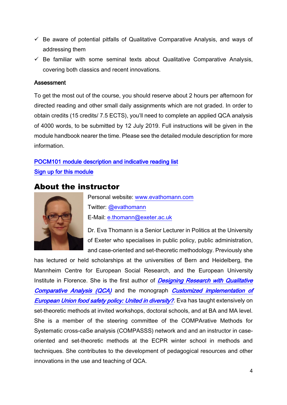- $\checkmark$  Be aware of potential pitfalls of Qualitative Comparative Analysis, and ways of addressing them
- $\checkmark$  Be familiar with some seminal texts about Qualitative Comparative Analysis, covering both classics and recent innovations.

#### Assessment

To get the most out of the course, you should reserve about 2 hours per afternoon for directed reading and other small daily assignments which are not graded. In order to obtain credits (15 credits/ 7.5 ECTS), you'll need to complete an applied QCA analysis of 4000 words, to be submitted by 12 July 2019. Full instructions will be given in the module handbook nearer the time. Please see the detailed module description for more information.

#### [POCM101 module description and indicative reading list](http://socialsciences.exeter.ac.uk/students/postgraduatemodules/2018-19/module/?moduleCode=POCM101&ay=2018/9)  [Sign up for this module](https://store.exeter.ac.uk/conferences-and-events/college-of-social-sciences-and-international-studies/events/qualitative-methods-summer-training-week-2-pocm101-qualitative-comparative-analysis-qca)

#### About the instructor



Personal website: [www.evathomann.com](http://www.evathomann.com/) Twitter: [@evathomann](https://twitter.com/EvaThomann) E-Mail: [e.thomann@exeter.ac.uk](mailto:e.thomann@exeter.ac.uk)

Dr. Eva Thomann is a Senior Lecturer in Politics at the University of Exeter who specialises in public policy, public administration, and case-oriented and set-theoretic methodology. Previously she

has lectured or held scholarships at the universities of Bern and Heidelberg, the Mannheim Centre for European Social Research, and the European University Institute in Florence. She is the first author of Designing Research with Qualitative [Comparative Analysis \(QCA\)](http://journals.sagepub.com/doi/abs/10.1177/0049124117729700) and the monograph Customized implementation of **[European Union food safety policy: United in diversity?](https://www.palgrave.com/de/book/9783319926834)**. Eva has taught extensively on set-theoretic methods at invited workshops, doctoral schools, and at BA and MA level. She is a member of the steering committee of the COMPArative Methods for Systematic cross-caSe analysis (COMPASSS) network and and an instructor in caseoriented and set-theoretic methods at the ECPR winter school in methods and techniques. She contributes to the development of pedagogical resources and other innovations in the use and teaching of QCA.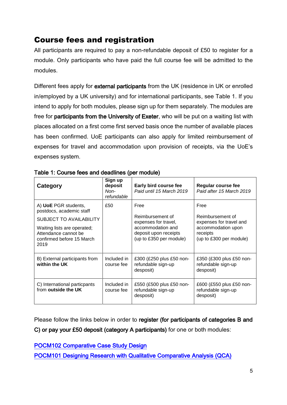## Course fees and registration

All participants are required to pay a non-refundable deposit of £50 to register for a module. Only participants who have paid the full course fee will be admitted to the modules.

Different fees apply for external participants from the UK (residence in UK or enrolled in/employed by a UK university) and for international participants, see Table 1. If you intend to apply for both modules, please sign up for them separately. The modules are free for participants from the University of Exeter, who will be put on a waiting list with places allocated on a first come first served basis once the number of available places has been confirmed. UoE participants can also apply for limited reimbursement of expenses for travel and accommodation upon provision of receipts, via the UoE's expenses system.

| Category                                                                                 | Sign up<br>deposit<br>Non-<br>refundable | Early bird course fee<br>Paid until 15 March 2019                     | Regular course fee<br>Paid after 15 March 2019              |
|------------------------------------------------------------------------------------------|------------------------------------------|-----------------------------------------------------------------------|-------------------------------------------------------------|
| A) UoE PGR students,<br>postdocs, academic staff<br><b>SUBJECT TO AVAILABILITY</b>       | £50                                      | Free<br>Reimbursement of<br>expenses for travel,                      | Free<br>Reimbursement of<br>expenses for travel and         |
| Waiting lists are operated;<br>Attendance cannot be<br>confirmed before 15 March<br>2019 |                                          | accommodation and<br>deposit upon receipts<br>(up to £350 per module) | accommodation upon<br>receipts<br>(up to £300 per module)   |
| B) External participants from<br>within the UK                                           | Included in<br>course fee                | £300 (£250 plus £50 non-<br>refundable sign-up<br>desposit)           | £350 (£300 plus £50 non-<br>refundable sign-up<br>desposit) |
| C) International particpants<br>from outside the UK                                      | Included in<br>course fee                | £550 (£500 plus £50 non-<br>refundable sign-up<br>desposit)           | £600 (£550 plus £50 non-<br>refundable sign-up<br>desposit) |

Table 1: Course fees and deadlines (per module)

Please follow the links below in order to register (for participants of categories B and

C) or pay your £50 deposit (category A participants) for one or both modules:

[POCM102 Comparative Case Study Design](https://store.exeter.ac.uk/conferences-and-events/college-of-social-sciences-and-international-studies/events/qualitative-methods-summer-training-week-1-pocm102-comparative-case-study-design) 

[POCM101 Designing Research with Qualitative Comparative Analysis \(QCA\)](https://store.exeter.ac.uk/conferences-and-events/college-of-social-sciences-and-international-studies/events/qualitative-methods-summer-training-week-2-pocm101-qualitative-comparative-analysis-qca)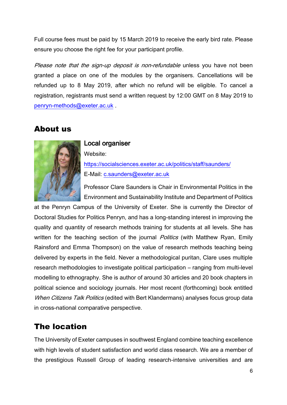Full course fees must be paid by 15 March 2019 to receive the early bird rate. Please ensure you choose the right fee for your participant profile.

Please note that the sign-up deposit is non-refundable unless you have not been granted a place on one of the modules by the organisers. Cancellations will be refunded up to 8 May 2019, after which no refund will be eligible. To cancel a registration, registrants must send a written request by 12:00 GMT on 8 May 2019 to [penryn-methods@exeter.ac.uk](mailto:penryn-methods@exeter.ac.uk) .

### About us



## Local organiser

Website: <https://socialsciences.exeter.ac.uk/politics/staff/saunders/> E-Mail: [c.saunders@exeter.ac.uk](mailto:c.saunders@exeter.ac.uk)

Professor Clare Saunders is Chair in Environmental Politics in the Environment and Sustainability Institute and Department of Politics

at the Penryn Campus of the University of Exeter. She is currently the Director of Doctoral Studies for Politics Penryn, and has a long-standing interest in improving the quality and quantity of research methods training for students at all levels. She has written for the teaching section of the journal *Politics* (with Matthew Ryan, Emily Rainsford and Emma Thompson) on the value of research methods teaching being delivered by experts in the field. Never a methodological puritan, Clare uses multiple research methodologies to investigate political participation – ranging from multi-level modelling to ethnography. She is author of around 30 articles and 20 book chapters in political science and sociology journals. Her most recent (forthcoming) book entitled When Citizens Talk Politics (edited with Bert Klandermans) analyses focus group data in cross-national comparative perspective.

### The location

The University of Exeter campuses in southwest England combine teaching excellence with high levels of student satisfaction and world class research. We are a member of the prestigious Russell Group of leading research-intensive universities and are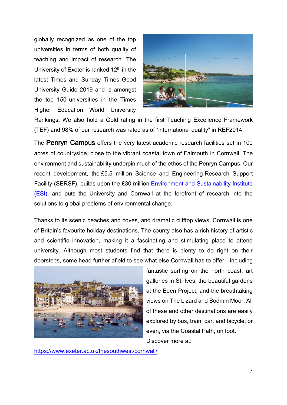globally recognized as one of the top universities in terms of both quality of teaching and impact of research. The University of Exeter is ranked 12th in the latest Times and Sunday Times Good University Guide 2019 and is amongst the top 150 universities in the Times Higher Education World University



Rankings. We also hold a Gold rating in the first Teaching Excellence Framework (TEF) and 98% of our research was rated as of "international quality" in REF2014.

The Penryn Campus offers the very latest academic research facilities set in 100 acres of countryside, close to the vibrant coastal town of Falmouth in Cornwall. The environment and sustainability underpin much of the ethos of the Penryn Campus. Our recent development, the £5.5 million Science and Engineering Research Support Facility (SERSF), builds upon the £30 million [Environment and Sustainability Institute](http://www.exeter.ac.uk/esi/)  [\(ESI\),](http://www.exeter.ac.uk/esi/) and puts the University and Cornwall at the forefront of research into the solutions to global problems of environmental change.

Thanks to its scenic beaches and coves, and dramatic clifftop views, Cornwall is one of Britain's favourite holiday destinations. The county also has a rich history of artistic and scientific innovation, making it a fascinating and stimulating place to attend university. Although most students find that there is plenty to do right on their doorsteps, some head further afield to see what else Cornwall has to offer—including



fantastic surfing on the north coast, art galleries in St. Ives, the beautiful gardens at the Eden Project, and the breathtaking views on The Lizard and Bodmin Moor. All of these and other destinations are easily explored by bus, train, car, and bicycle, or even, via the Coastal Path, on foot. Discover more at:

<https://www.exeter.ac.uk/thesouthwest/cornwall/>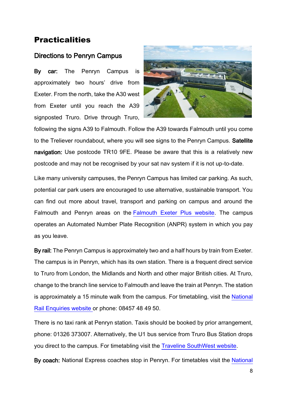#### **Practicalities**

#### Directions to Penryn Campus

By car: The Penryn Campus is approximately two hours' drive from Exeter. From the north, take the A30 west from Exeter until you reach the A39 signposted Truro. Drive through Truro,



following the signs A39 to Falmouth. Follow the A39 towards Falmouth until you come to the Treliever roundabout, where you will see signs to the Penryn Campus. Satellite navigation: Use postcode TR10 9FE. Please be aware that this is a relatively new postcode and may not be recognised by your sat nav system if it is not up-to-date.

Like many university campuses, the Penryn Campus has limited car parking. As such, potential car park users are encouraged to use alternative, sustainable transport. You can find out more about travel, transport and parking on campus and around the Falmouth and Penryn areas on the [Falmouth Exeter Plus website.](http://www.fxplus.ac.uk/find/travel-transport) The campus operates an Automated Number Plate Recognition (ANPR) system in which you pay as you leave.

By rail: The Penryn Campus is approximately two and a half hours by train from Exeter. The campus is in Penryn, which has its own station. There is a frequent direct service to Truro from London, the Midlands and North and other major British cities. At Truro, change to the branch line service to Falmouth and leave the train at Penryn. The station is approximately a 15 minute walk from the campus. For timetabling, visit the [National](http://www.nationalrail.co.uk/)  [Rail Enquiries website](http://www.nationalrail.co.uk/) or phone: 08457 48 49 50.

There is no taxi rank at Penryn station. Taxis should be booked by prior arrangement, phone: 01326 373007. Alternatively, the U1 bus service from Truro Bus Station drops you direct to the campus. For timetabling visit the [Traveline SouthWest website.](http://www.travelinesw.com/)

By coach: National Express coaches stop in Penryn. For timetables visit the [National](http://www.nationalexpress.com/)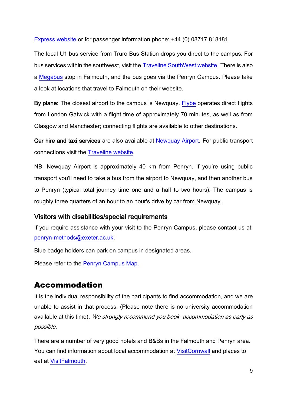[Express website](http://www.nationalexpress.com/) or for passenger information phone: +44 (0) 08717 818181.

The local U1 bus service from Truro Bus Station drops you direct to the campus. For bus services within the southwest, visit the [Traveline SouthWest website.](http://www.travelinesw.com/) There is also a [Megabus](https://uk.megabus.com/Default.aspx) stop in Falmouth, and the bus goes via the Penryn Campus. Please take a look at locations that travel to Falmouth on their website.

By plane: The closest airport to the campus is Newquay. [Flybe](http://www.flybe.com/) operates direct flights from London Gatwick with a flight time of approximately 70 minutes, as well as from Glasgow and Manchester; connecting flights are available to other destinations.

Car hire and taxi services are also available at [Newquay Airport.](http://www.newquaycornwallairport.com/) For public transport connections visit the [Traveline website.](http://www.traveline.org.uk/)

NB: Newquay Airport is approximately 40 km from Penryn. If you're using public transport you'll need to take a bus from the airport to Newquay, and then another bus to Penryn (typical total journey time one and a half to two hours). The campus is roughly three quarters of an hour to an hour's drive by car from Newquay.

#### Visitors with disabilities/special requirements

If you require assistance with your visit to the Penryn Campus, please contact us at: [penryn-methods@exeter.ac.uk.](mailto:penryn-methods@exeter.ac.uk)

Blue badge holders can park on campus in designated areas.

Please refer to the [Penryn Campus Map.](http://www.exeter.ac.uk/visit/directions/cornwallmap/)

### Accommodation

It is the individual responsibility of the participants to find accommodation, and we are unable to assist in that process. (Please note there is no university accommodation available at this time). We strongly recommend you book accommodation as early as possible.

There are a number of very good hotels and B&Bs in the Falmouth and Penryn area. You can find information about local accommodation at [VisitCornwall](http://www.visitcornwall.com/) and places to eat at [VisitFalmouth.](https://www.visitfalmouth.com/falmouth-things-to-do/restaurants-falmouth/)